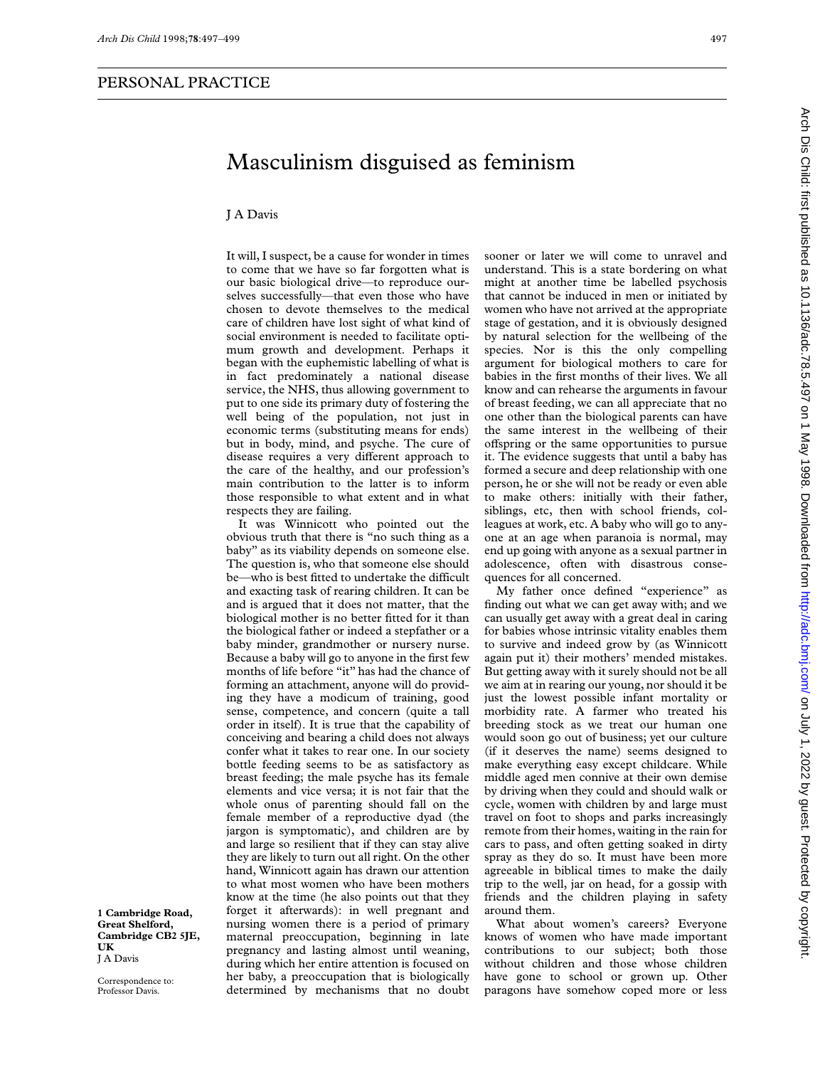## Masculinism disguised as feminism

J A Davis

It will, I suspect, be a cause for wonder in times to come that we have so far forgotten what is our basic biological drive—to reproduce ourselves successfully—that even those who have chosen to devote themselves to the medical care of children have lost sight of what kind of social environment is needed to facilitate optimum growth and development. Perhaps it began with the euphemistic labelling of what is in fact predominately a national disease service, the NHS, thus allowing government to put to one side its primary duty of fostering the well being of the population, not just in economic terms (substituting means for ends) but in body, mind, and psyche. The cure of disease requires a very different approach to the care of the healthy, and our profession's main contribution to the latter is to inform those responsible to what extent and in what respects they are failing.

It was Winnicott who pointed out the obvious truth that there is "no such thing as a baby" as its viability depends on someone else. The question is, who that someone else should be—who is best fitted to undertake the difficult and exacting task of rearing children. It can be and is argued that it does not matter, that the biological mother is no better fitted for it than the biological father or indeed a stepfather or a baby minder, grandmother or nursery nurse. Because a baby will go to anyone in the first few months of life before "it" has had the chance of forming an attachment, anyone will do providing they have a modicum of training, good sense, competence, and concern (quite a tall order in itself). It is true that the capability of conceiving and bearing a child does not always confer what it takes to rear one. In our society bottle feeding seems to be as satisfactory as breast feeding; the male psyche has its female elements and vice versa; it is not fair that the whole onus of parenting should fall on the female member of a reproductive dyad (the jargon is symptomatic), and children are by and large so resilient that if they can stay alive they are likely to turn out all right. On the other hand, Winnicott again has drawn our attention to what most women who have been mothers know at the time (he also points out that they forget it afterwards): in well pregnant and nursing women there is a period of primary maternal preoccupation, beginning in late pregnancy and lasting almost until weaning, during which her entire attention is focused on her baby, a preoccupation that is biologically determined by mechanisms that no doubt

sooner or later we will come to unravel and understand. This is a state bordering on what might at another time be labelled psychosis that cannot be induced in men or initiated by women who have not arrived at the appropriate stage of gestation, and it is obviously designed by natural selection for the wellbeing of the species. Nor is this the only compelling argument for biological mothers to care for babies in the first months of their lives. We all know and can rehearse the arguments in favour of breast feeding, we can all appreciate that no one other than the biological parents can have the same interest in the wellbeing of their offspring or the same opportunities to pursue it. The evidence suggests that until a baby has formed a secure and deep relationship with one person, he or she will not be ready or even able to make others: initially with their father, siblings, etc, then with school friends, colleagues at work, etc. A baby who will go to anyone at an age when paranoia is normal, may end up going with anyone as a sexual partner in adolescence, often with disastrous consequences for all concerned.

My father once defined "experience" as finding out what we can get away with; and we can usually get away with a great deal in caring for babies whose intrinsic vitality enables them to survive and indeed grow by (as Winnicott again put it) their mothers' mended mistakes. But getting away with it surely should not be all we aim at in rearing our young, nor should it be just the lowest possible infant mortality or morbidity rate. A farmer who treated his breeding stock as we treat our human one would soon go out of business; yet our culture (if it deserves the name) seems designed to make everything easy except childcare. While middle aged men connive at their own demise by driving when they could and should walk or cycle, women with children by and large must travel on foot to shops and parks increasingly remote from their homes, waiting in the rain for cars to pass, and often getting soaked in dirty spray as they do so. It must have been more agreeable in biblical times to make the daily trip to the well, jar on head, for a gossip with friends and the children playing in safety around them.

What about women's careers? Everyone knows of women who have made important contributions to our subject; both those without children and those whose children have gone to school or grown up. Other paragons have somehow coped more or less

**1 Cambridge Road, Great Shelford, Cambridge CB2 5JE, UK** J A Davis

Correspondence to: Professor Davis.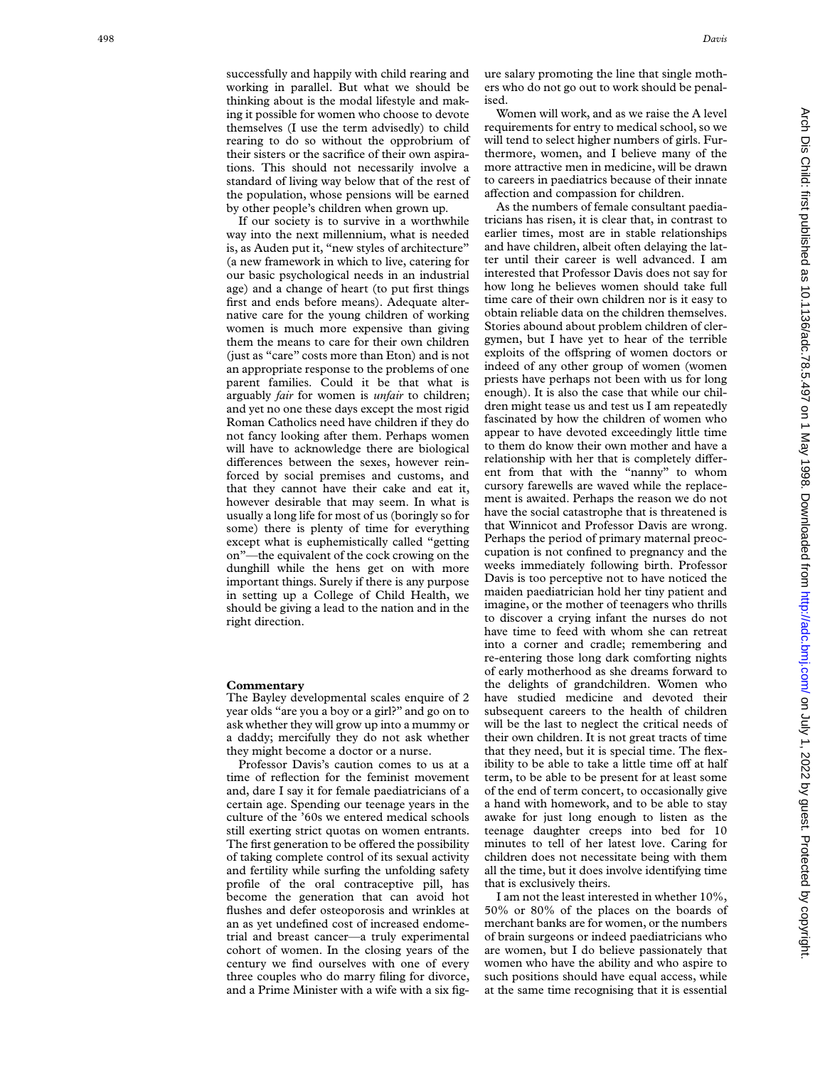successfully and happily with child rearing and working in parallel. But what we should be thinking about is the modal lifestyle and making it possible for women who choose to devote themselves (I use the term advisedly) to child rearing to do so without the opprobrium of their sisters or the sacrifice of their own aspirations. This should not necessarily involve a standard of living way below that of the rest of the population, whose pensions will be earned by other people's children when grown up.

If our society is to survive in a worthwhile way into the next millennium, what is needed is, as Auden put it, "new styles of architecture" (a new framework in which to live, catering for our basic psychological needs in an industrial age) and a change of heart (to put first things first and ends before means). Adequate alternative care for the young children of working women is much more expensive than giving them the means to care for their own children (just as "care" costs more than Eton) and is not an appropriate response to the problems of one parent families. Could it be that what is arguably *fair* for women is *unfair* to children; and yet no one these days except the most rigid Roman Catholics need have children if they do not fancy looking after them. Perhaps women will have to acknowledge there are biological differences between the sexes, however reinforced by social premises and customs, and that they cannot have their cake and eat it, however desirable that may seem. In what is usually a long life for most of us (boringly so for some) there is plenty of time for everything except what is euphemistically called "getting on"—the equivalent of the cock crowing on the dunghill while the hens get on with more important things. Surely if there is any purpose in setting up a College of Child Health, we should be giving a lead to the nation and in the right direction.

## **Commentary**

The Bayley developmental scales enquire of 2 year olds "are you a boy or a girl?" and go on to ask whether they will grow up into a mummy or a daddy; mercifully they do not ask whether they might become a doctor or a nurse.

Professor Davis's caution comes to us at a time of reflection for the feminist movement and, dare I say it for female paediatricians of a certain age. Spending our teenage years in the culture of the '60s we entered medical schools still exerting strict quotas on women entrants. The first generation to be offered the possibility of taking complete control of its sexual activity and fertility while surfing the unfolding safety profile of the oral contraceptive pill, has become the generation that can avoid hot flushes and defer osteoporosis and wrinkles at an as yet undefined cost of increased endometrial and breast cancer—a truly experimental cohort of women. In the closing years of the century we find ourselves with one of every three couples who do marry filing for divorce, and a Prime Minister with a wife with a six fig-

ure salary promoting the line that single mothers who do not go out to work should be penalised.

Women will work, and as we raise the A level requirements for entry to medical school, so we will tend to select higher numbers of girls. Furthermore, women, and I believe many of the more attractive men in medicine, will be drawn to careers in paediatrics because of their innate affection and compassion for children.

As the numbers of female consultant paediatricians has risen, it is clear that, in contrast to earlier times, most are in stable relationships and have children, albeit often delaying the latter until their career is well advanced. I am interested that Professor Davis does not say for how long he believes women should take full time care of their own children nor is it easy to obtain reliable data on the children themselves. Stories abound about problem children of clergymen, but I have yet to hear of the terrible exploits of the offspring of women doctors or indeed of any other group of women (women priests have perhaps not been with us for long enough). It is also the case that while our children might tease us and test us I am repeatedly fascinated by how the children of women who appear to have devoted exceedingly little time to them do know their own mother and have a relationship with her that is completely different from that with the "nanny" to whom cursory farewells are waved while the replacement is awaited. Perhaps the reason we do not have the social catastrophe that is threatened is that Winnicot and Professor Davis are wrong. Perhaps the period of primary maternal preoccupation is not confined to pregnancy and the weeks immediately following birth. Professor Davis is too perceptive not to have noticed the maiden paediatrician hold her tiny patient and imagine, or the mother of teenagers who thrills to discover a crying infant the nurses do not have time to feed with whom she can retreat into a corner and cradle; remembering and re-entering those long dark comforting nights of early motherhood as she dreams forward to the delights of grandchildren. Women who have studied medicine and devoted their subsequent careers to the health of children will be the last to neglect the critical needs of their own children. It is not great tracts of time that they need, but it is special time. The flexibility to be able to take a little time off at half term, to be able to be present for at least some of the end of term concert, to occasionally give a hand with homework, and to be able to stay awake for just long enough to listen as the teenage daughter creeps into bed for 10 minutes to tell of her latest love. Caring for children does not necessitate being with them all the time, but it does involve identifying time that is exclusively theirs.

I am not the least interested in whether 10%, 50% or 80% of the places on the boards of merchant banks are for women, or the numbers of brain surgeons or indeed paediatricians who are women, but I do believe passionately that women who have the ability and who aspire to such positions should have equal access, while at the same time recognising that it is essential